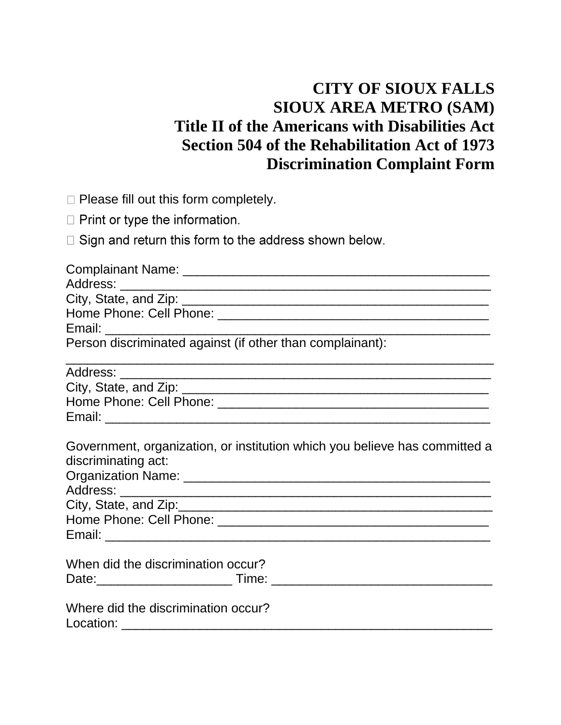## **CITY OF SIOUX FALLS SIOUX AREA METRO (SAM) Title II of the Americans with Disabilities Act Section 504 of the Rehabilitation Act of 1973 Discrimination Complaint Form**

 $\Box$  Please fill out this form completely.

 $\Box$  Print or type the information.

□ Sign and return this form to the address shown below.

| Person discriminated against (if other than complainant): |                                                                                                                  |
|-----------------------------------------------------------|------------------------------------------------------------------------------------------------------------------|
|                                                           | and the control of the control of the control of the control of the control of the control of the control of the |
|                                                           |                                                                                                                  |
|                                                           |                                                                                                                  |
|                                                           |                                                                                                                  |
| discriminating act:                                       | Government, organization, or institution which you believe has committed a                                       |
|                                                           |                                                                                                                  |
|                                                           | City, State, and Zip: <b>Manual Acidemy City</b> , State, and Zip:                                               |
|                                                           |                                                                                                                  |
|                                                           |                                                                                                                  |
| When did the discrimination occur?                        |                                                                                                                  |
|                                                           |                                                                                                                  |
| Where did the discrimination occur?                       |                                                                                                                  |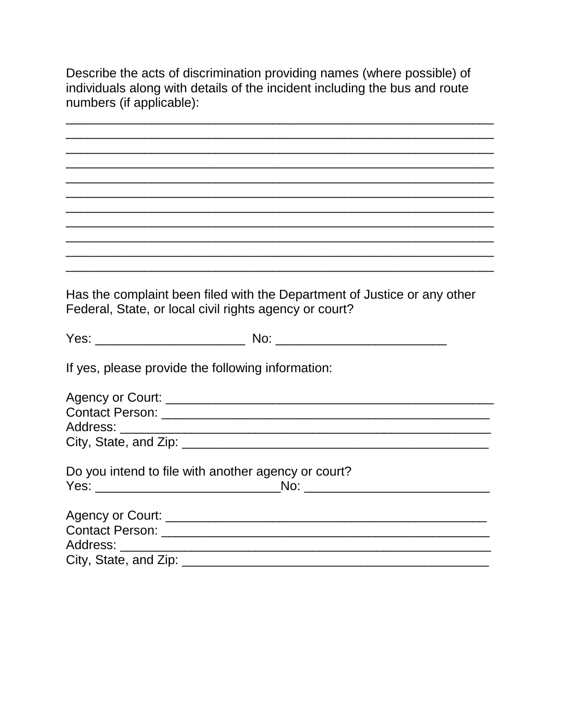Describe the acts of discrimination providing names (where possible) of individuals along with details of the incident including the bus and route numbers (if applicable):

Has the complaint been filed with the Department of Justice or any other Federal, State, or local civil rights agency or court? If yes, please provide the following information: Do you intend to file with another agency or court? Address: \_\_\_\_\_\_\_